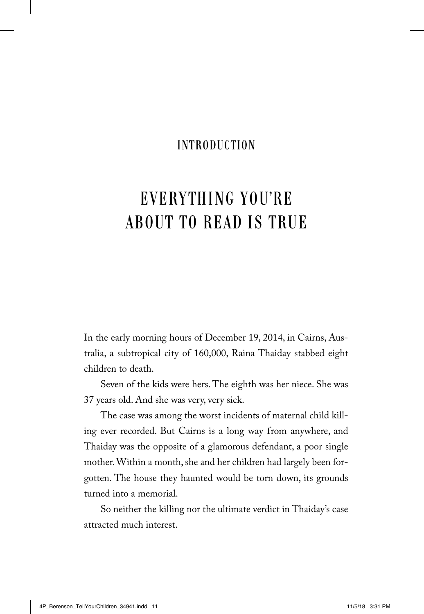## INTRODUCTION

# EVE RYTH I NG YOU'R E ABOUT TO READ IS TRUE

In the early morning hours of December 19, 2014, in Cairns, Australia, a subtropical city of 160,000, Raina Thaiday stabbed eight children to death.

Seven of the kids were hers. The eighth was her niece. She was 37 years old. And she was very, very sick.

The case was among the worst incidents of maternal child killing ever recorded. But Cairns is a long way from anywhere, and Thaiday was the opposite of a glamorous defendant, a poor single mother. Within a month, she and her children had largely been forgotten. The house they haunted would be torn down, its grounds turned into a memorial.

So neither the killing nor the ultimate verdict in Thaiday's case attracted much interest.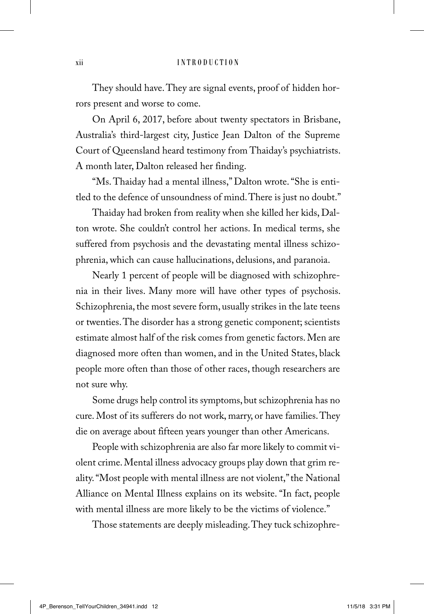#### xii I N

They should have. They are signal events, proof of hidden horrors present and worse to come.

On April 6, 2017, before about twenty spectators in Brisbane, Australia's third-largest city, Justice Jean Dalton of the Supreme Court of Queensland heard testimony from Thaiday's psychiatrists. A month later, Dalton released her finding.

"Ms. Thaiday had a mental illness," Dalton wrote. "She is entitled to the defence of unsoundness of mind. There is just no doubt."

Thaiday had broken from reality when she killed her kids, Dalton wrote. She couldn't control her actions. In medical terms, she suffered from psychosis and the devastating mental illness schizophrenia, which can cause hallucinations, delusions, and paranoia.

Nearly 1 percent of people will be diagnosed with schizophrenia in their lives. Many more will have other types of psychosis. Schizophrenia, the most severe form, usually strikes in the late teens or twenties. The disorder has a strong genetic component; scientists estimate almost half of the risk comes from genetic factors. Men are diagnosed more often than women, and in the United States, black people more often than those of other races, though researchers are not sure why.

Some drugs help control its symptoms, but schizophrenia has no cure. Most of its sufferers do not work, marry, or have families. They die on average about fifteen years younger than other Americans.

People with schizophrenia are also far more likely to commit violent crime. Mental illness advocacy groups play down that grim reality. "Most people with mental illness are not violent," the National Alliance on Mental Illness explains on its website. "In fact, people with mental illness are more likely to be the victims of violence."

Those statements are deeply misleading. They tuck schizophre-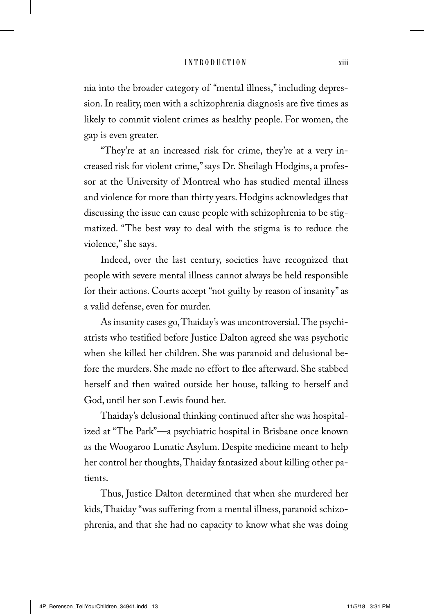nia into the broader category of "mental illness," including depression. In reality, men with a schizophrenia diagnosis are five times as likely to commit violent crimes as healthy people. For women, the gap is even greater.

"They're at an increased risk for crime, they're at a very increased risk for violent crime," says Dr. Sheilagh Hodgins, a professor at the University of Montreal who has studied mental illness and violence for more than thirty years. Hodgins acknowledges that discussing the issue can cause people with schizophrenia to be stigmatized. "The best way to deal with the stigma is to reduce the violence," she says.

Indeed, over the last century, societies have recognized that people with severe mental illness cannot always be held responsible for their actions. Courts accept "not guilty by reason of insanity" as a valid defense, even for murder.

As insanity cases go, Thaiday's was uncontroversial. The psychiatrists who testified before Justice Dalton agreed she was psychotic when she killed her children. She was paranoid and delusional before the murders. She made no effort to flee afterward. She stabbed herself and then waited outside her house, talking to herself and God, until her son Lewis found her.

Thaiday's delusional thinking continued after she was hospitalized at "The Park"—a psychiatric hospital in Brisbane once known as the Woogaroo Lunatic Asylum. Despite medicine meant to help her control her thoughts, Thaiday fantasized about killing other patients.

Thus, Justice Dalton determined that when she murdered her kids, Thaiday "was suffering from a mental illness, paranoid schizophrenia, and that she had no capacity to know what she was doing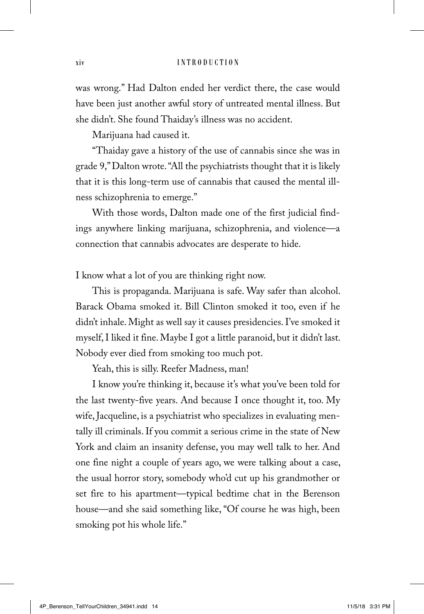#### xiv I N

was wrong." Had Dalton ended her verdict there, the case would have been just another awful story of untreated mental illness. But she didn't. She found Thaiday's illness was no accident.

Marijuana had caused it.

"Thaiday gave a history of the use of cannabis since she was in grade 9," Dalton wrote. "All the psychiatrists thought that it is likely that it is this long-term use of cannabis that caused the mental illness schizophrenia to emerge."

With those words, Dalton made one of the first judicial findings anywhere linking marijuana, schizophrenia, and violence—a connection that cannabis advocates are desperate to hide.

I know what a lot of you are thinking right now.

This is propaganda. Marijuana is safe. Way safer than alcohol. Barack Obama smoked it. Bill Clinton smoked it too, even if he didn't inhale. Might as well say it causes presidencies. I've smoked it myself, I liked it fine. Maybe I got a little paranoid, but it didn't last. Nobody ever died from smoking too much pot.

Yeah, this is silly. Reefer Madness, man!

I know you're thinking it, because it's what you've been told for the last twenty-five years. And because I once thought it, too. My wife, Jacqueline, is a psychiatrist who specializes in evaluating mentally ill criminals. If you commit a serious crime in the state of New York and claim an insanity defense, you may well talk to her. And one fine night a couple of years ago, we were talking about a case, the usual horror story, somebody who'd cut up his grandmother or set fire to his apartment—typical bedtime chat in the Berenson house—and she said something like, "Of course he was high, been smoking pot his whole life."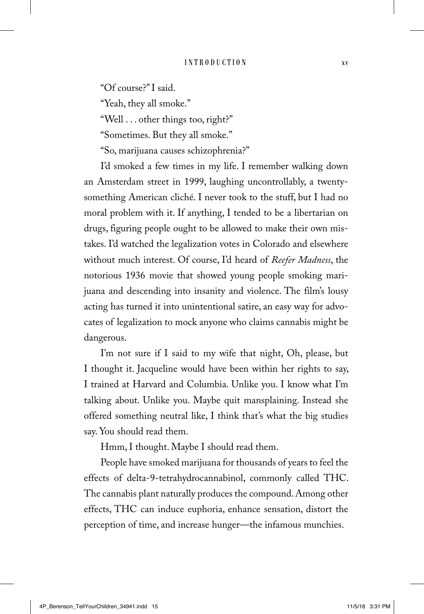"Of course?" I said.

"Yeah, they all smoke."

"Well . . . other things too, right?"

"Sometimes. But they all smoke."

"So, marijuana causes schizophrenia?"

I'd smoked a few times in my life. I remember walking down an Amsterdam street in 1999, laughing uncontrollably, a twentysomething American cliché. I never took to the stuff, but I had no moral problem with it. If anything, I tended to be a libertarian on drugs, figuring people ought to be allowed to make their own mistakes. I'd watched the legalization votes in Colorado and elsewhere without much interest. Of course, I'd heard of *Reefer Madness*, the notorious 1936 movie that showed young people smoking marijuana and descending into insanity and violence. The film's lousy acting has turned it into unintentional satire, an easy way for advocates of legalization to mock anyone who claims cannabis might be dangerous.

I'm not sure if I said to my wife that night, Oh, please, but I thought it. Jacqueline would have been within her rights to say, I trained at Harvard and Columbia. Unlike you. I know what I'm talking about. Unlike you. Maybe quit mansplaining. Instead she offered something neutral like, I think that's what the big studies say. You should read them.

Hmm, I thought. Maybe I should read them.

People have smoked marijuana for thousands of years to feel the effects of delta-9-tetrahydrocannabinol, commonly called THC. The cannabis plant naturally produces the compound. Among other effects, THC can induce euphoria, enhance sensation, distort the perception of time, and increase hunger—the infamous munchies.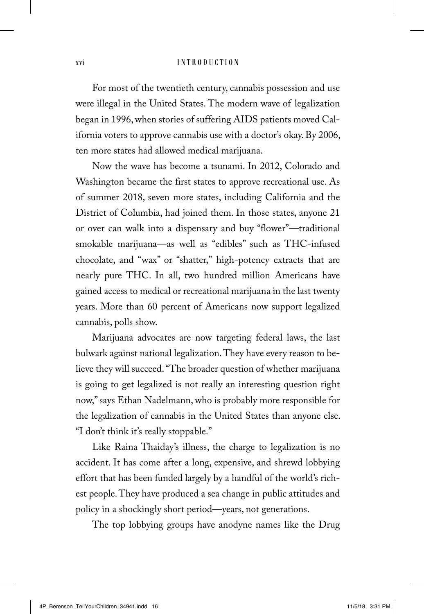For most of the twentieth century, cannabis possession and use were illegal in the United States. The modern wave of legalization began in 1996, when stories of suffering AIDS patients moved California voters to approve cannabis use with a doctor's okay. By 2006, ten more states had allowed medical marijuana.

Now the wave has become a tsunami. In 2012, Colorado and Washington became the first states to approve recreational use. As of summer 2018, seven more states, including California and the District of Columbia, had joined them. In those states, anyone 21 or over can walk into a dispensary and buy "flower"—traditional smokable marijuana—as well as "edibles" such as THC-infused chocolate, and "wax" or "shatter," high-potency extracts that are nearly pure THC. In all, two hundred million Americans have gained access to medical or recreational marijuana in the last twenty years. More than 60 percent of Americans now support legalized cannabis, polls show.

Marijuana advocates are now targeting federal laws, the last bulwark against national legalization. They have every reason to believe they will succeed. "The broader question of whether marijuana is going to get legalized is not really an interesting question right now," says Ethan Nadelmann, who is probably more responsible for the legalization of cannabis in the United States than anyone else. "I don't think it's really stoppable."

Like Raina Thaiday's illness, the charge to legalization is no accident. It has come after a long, expensive, and shrewd lobbying effort that has been funded largely by a handful of the world's richest people. They have produced a sea change in public attitudes and policy in a shockingly short period—years, not generations.

The top lobbying groups have anodyne names like the Drug

4P\_Berenson\_TellYourChildren\_34941.indd 16 11/5/18 3:31 PM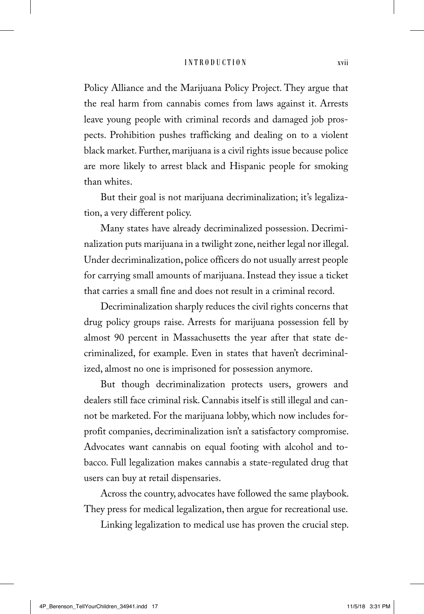Policy Alliance and the Marijuana Policy Project. They argue that the real harm from cannabis comes from laws against it. Arrests leave young people with criminal records and damaged job prospects. Prohibition pushes trafficking and dealing on to a violent black market. Further, marijuana is a civil rights issue because police are more likely to arrest black and Hispanic people for smoking than whites.

But their goal is not marijuana decriminalization; it's legalization, a very different policy.

Many states have already decriminalized possession. Decriminalization puts marijuana in a twilight zone, neither legal nor illegal. Under decriminalization, police officers do not usually arrest people for carrying small amounts of marijuana. Instead they issue a ticket that carries a small fine and does not result in a criminal record.

Decriminalization sharply reduces the civil rights concerns that drug policy groups raise. Arrests for marijuana possession fell by almost 90 percent in Massachusetts the year after that state decriminalized, for example. Even in states that haven't decriminalized, almost no one is imprisoned for possession anymore.

But though decriminalization protects users, growers and dealers still face criminal risk. Cannabis itself is still illegal and cannot be marketed. For the marijuana lobby, which now includes forprofit companies, decriminalization isn't a satisfactory compromise. Advocates want cannabis on equal footing with alcohol and tobacco. Full legalization makes cannabis a state-regulated drug that users can buy at retail dispensaries.

Across the country, advocates have followed the same playbook. They press for medical legalization, then argue for recreational use.

Linking legalization to medical use has proven the crucial step.

4P\_Berenson\_TellYourChildren\_34941.indd 17 11/5/18 3:31 PM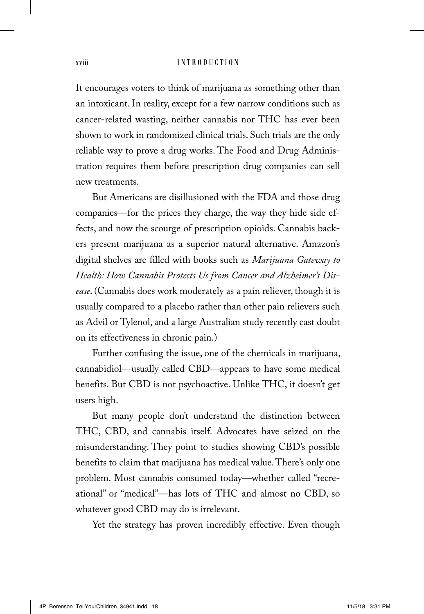#### xviii INTRODUCTION

It encourages voters to think of marijuana as something other than an intoxicant. In reality, except for a few narrow conditions such as cancer-related wasting, neither cannabis nor THC has ever been shown to work in randomized clinical trials. Such trials are the only reliable way to prove a drug works. The Food and Drug Administration requires them before prescription drug companies can sell new treatments.

But Americans are disillusioned with the FDA and those drug companies—for the prices they charge, the way they hide side effects, and now the scourge of prescription opioids. Cannabis backers present marijuana as a superior natural alternative. Amazon's digital shelves are filled with books such as *Marijuana Gateway to Health: How Cannabis Protects Us from Cancer and Alzheimer's Disease*. (Cannabis does work moderately as a pain reliever, though it is usually compared to a placebo rather than other pain relievers such as Advil or Tylenol, and a large Australian study recently cast doubt on its effectiveness in chronic pain.)

Further confusing the issue, one of the chemicals in marijuana, cannabidiol—usually called CBD—appears to have some medical benefits. But CBD is not psychoactive. Unlike THC, it doesn't get users high.

But many people don't understand the distinction between THC, CBD, and cannabis itself. Advocates have seized on the misunderstanding. They point to studies showing CBD's possible benefits to claim that marijuana has medical value. There's only one problem. Most cannabis consumed today—whether called "recreational" or "medical"—has lots of THC and almost no CBD, so whatever good CBD may do is irrelevant.

Yet the strategy has proven incredibly effective. Even though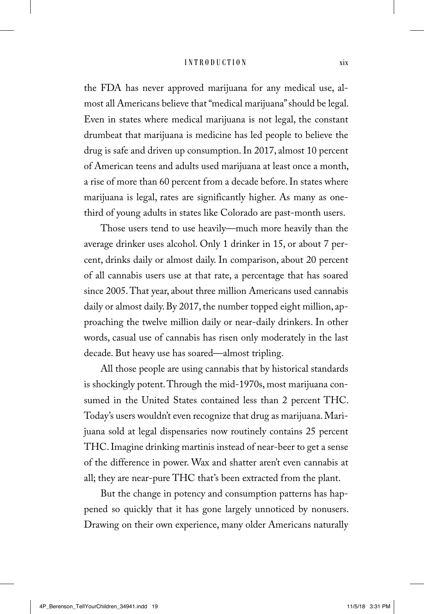the FDA has never approved marijuana for any medical use, almost all Americans believe that "medical marijuana" should be legal. Even in states where medical marijuana is not legal, the constant drumbeat that marijuana is medicine has led people to believe the drug is safe and driven up consumption. In 2017, almost 10 percent of American teens and adults used marijuana at least once a month, a rise of more than 60 percent from a decade before. In states where marijuana is legal, rates are significantly higher. As many as onethird of young adults in states like Colorado are past-month users.

Those users tend to use heavily—much more heavily than the average drinker uses alcohol. Only 1 drinker in 15, or about 7 percent, drinks daily or almost daily. In comparison, about 20 percent of all cannabis users use at that rate, a percentage that has soared since 2005. That year, about three million Americans used cannabis daily or almost daily. By 2017, the number topped eight million, approaching the twelve million daily or near-daily drinkers. In other words, casual use of cannabis has risen only moderately in the last decade. But heavy use has soared—almost tripling.

All those people are using cannabis that by historical standards is shockingly potent. Through the mid-1970s, most marijuana consumed in the United States contained less than 2 percent THC. Today's users wouldn't even recognize that drug as marijuana. Marijuana sold at legal dispensaries now routinely contains 25 percent THC. Imagine drinking martinis instead of near-beer to get a sense of the difference in power. Wax and shatter aren't even cannabis at all; they are near-pure THC that's been extracted from the plant.

But the change in potency and consumption patterns has happened so quickly that it has gone largely unnoticed by nonusers. Drawing on their own experience, many older Americans naturally

4P\_Berenson\_TellYourChildren\_34941.indd 19 11/5/18 3:31 PM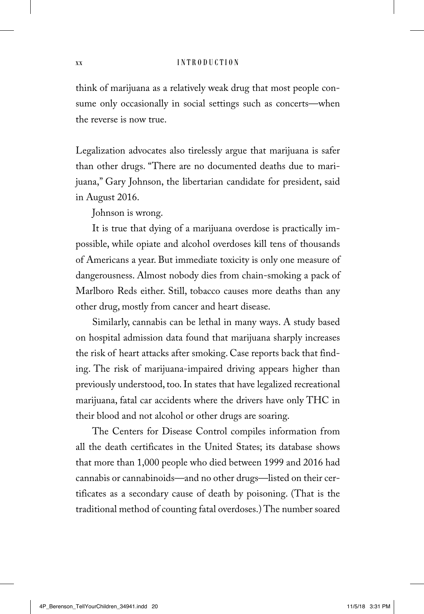#### $\mathbf{x} \mathbf{x}$  I n

think of marijuana as a relatively weak drug that most people consume only occasionally in social settings such as concerts—when the reverse is now true.

Legalization advocates also tirelessly argue that marijuana is safer than other drugs. "There are no documented deaths due to marijuana," Gary Johnson, the libertarian candidate for president, said in August 2016.

Johnson is wrong.

It is true that dying of a marijuana overdose is practically impossible, while opiate and alcohol overdoses kill tens of thousands of Americans a year. But immediate toxicity is only one measure of dangerousness. Almost nobody dies from chain-smoking a pack of Marlboro Reds either. Still, tobacco causes more deaths than any other drug, mostly from cancer and heart disease.

Similarly, cannabis can be lethal in many ways. A study based on hospital admission data found that marijuana sharply increases the risk of heart attacks after smoking. Case reports back that finding. The risk of marijuana-impaired driving appears higher than previously understood, too. In states that have legalized recreational marijuana, fatal car accidents where the drivers have only THC in their blood and not alcohol or other drugs are soaring.

The Centers for Disease Control compiles information from all the death certificates in the United States; its database shows that more than 1,000 people who died between 1999 and 2016 had cannabis or cannabinoids—and no other drugs—listed on their certificates as a secondary cause of death by poisoning. (That is the traditional method of counting fatal overdoses.) The number soared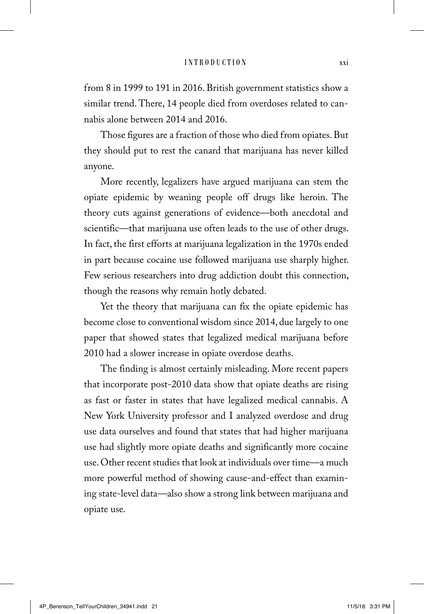from 8 in 1999 to 191 in 2016. British government statistics show a similar trend. There, 14 people died from overdoses related to cannabis alone between 2014 and 2016.

Those figures are a fraction of those who died from opiates. But they should put to rest the canard that marijuana has never killed anyone.

More recently, legalizers have argued marijuana can stem the opiate epidemic by weaning people off drugs like heroin. The theory cuts against generations of evidence—both anecdotal and scientific—that marijuana use often leads to the use of other drugs. In fact, the first efforts at marijuana legalization in the 1970s ended in part because cocaine use followed marijuana use sharply higher. Few serious researchers into drug addiction doubt this connection, though the reasons why remain hotly debated.

Yet the theory that marijuana can fix the opiate epidemic has become close to conventional wisdom since 2014, due largely to one paper that showed states that legalized medical marijuana before 2010 had a slower increase in opiate overdose deaths.

The finding is almost certainly misleading. More recent papers that incorporate post-2010 data show that opiate deaths are rising as fast or faster in states that have legalized medical cannabis. A New York University professor and I analyzed overdose and drug use data ourselves and found that states that had higher marijuana use had slightly more opiate deaths and significantly more cocaine use. Other recent studies that look at individuals over time—a much more powerful method of showing cause-and-effect than examining state-level data—also show a strong link between marijuana and opiate use.

4P\_Berenson\_TellYourChildren\_34941.indd 21 11/5/18 3:31 PM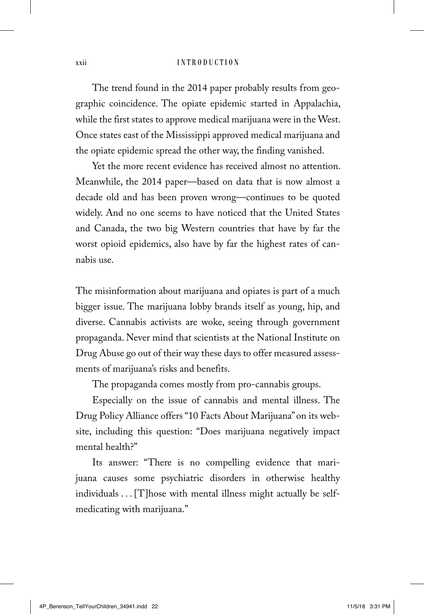The trend found in the 2014 paper probably results from geographic coincidence. The opiate epidemic started in Appalachia, while the first states to approve medical marijuana were in the West. Once states east of the Mississippi approved medical marijuana and the opiate epidemic spread the other way, the finding vanished.

Yet the more recent evidence has received almost no attention. Meanwhile, the 2014 paper—based on data that is now almost a decade old and has been proven wrong—continues to be quoted widely. And no one seems to have noticed that the United States and Canada, the two big Western countries that have by far the worst opioid epidemics, also have by far the highest rates of cannabis use.

The misinformation about marijuana and opiates is part of a much bigger issue. The marijuana lobby brands itself as young, hip, and diverse. Cannabis activists are woke, seeing through government propaganda. Never mind that scientists at the National Institute on Drug Abuse go out of their way these days to offer measured assessments of marijuana's risks and benefits.

The propaganda comes mostly from pro-cannabis groups.

Especially on the issue of cannabis and mental illness. The Drug Policy Alliance offers "10 Facts About Marijuana" on its website, including this question: "Does marijuana negatively impact mental health?"

Its answer: "There is no compelling evidence that marijuana causes some psychiatric disorders in otherwise healthy individuals  $\dots$  [T] hose with mental illness might actually be selfmedicating with marijuana."

xxii I N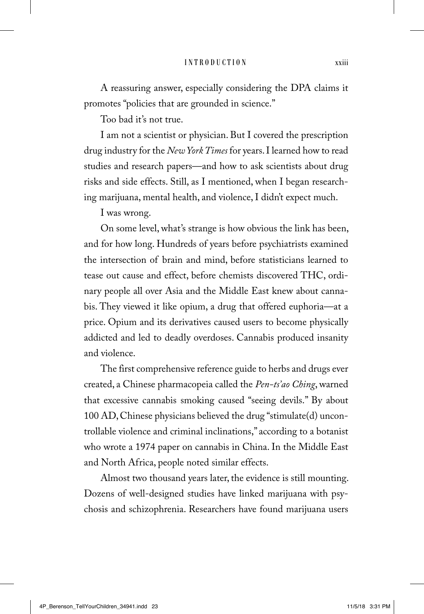A reassuring answer, especially considering the DPA claims it promotes "policies that are grounded in science."

Too bad it's not true.

I am not a scientist or physician. But I covered the prescription drug industry for the *New York Times* for years. I learned how to read studies and research papers—and how to ask scientists about drug risks and side effects. Still, as I mentioned, when I began researching marijuana, mental health, and violence, I didn't expect much.

I was wrong.

On some level, what's strange is how obvious the link has been, and for how long. Hundreds of years before psychiatrists examined the intersection of brain and mind, before statisticians learned to tease out cause and effect, before chemists discovered THC, ordinary people all over Asia and the Middle East knew about cannabis. They viewed it like opium, a drug that offered euphoria—at a price. Opium and its derivatives caused users to become physically addicted and led to deadly overdoses. Cannabis produced insanity and violence.

The first comprehensive reference guide to herbs and drugs ever created, a Chinese pharmacopeia called the *Pen-ts'ao Ching*, warned that excessive cannabis smoking caused "seeing devils." By about 100 AD, Chinese physicians believed the drug "stimulate(d) uncontrollable violence and criminal inclinations," according to a botanist who wrote a 1974 paper on cannabis in China. In the Middle East and North Africa, people noted similar effects.

Almost two thousand years later, the evidence is still mounting. Dozens of well-designed studies have linked marijuana with psychosis and schizophrenia. Researchers have found marijuana users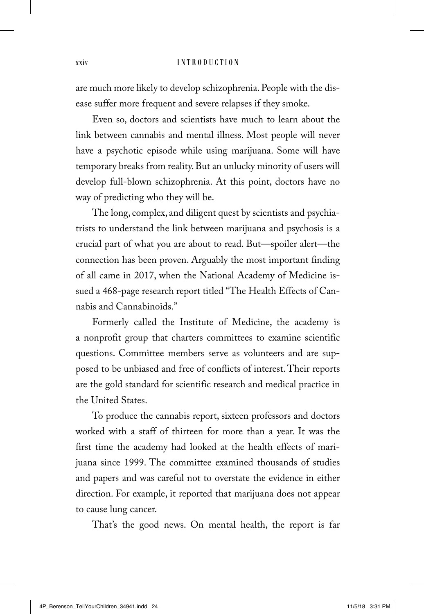#### xxiv I N

are much more likely to develop schizophrenia. People with the disease suffer more frequent and severe relapses if they smoke.

Even so, doctors and scientists have much to learn about the link between cannabis and mental illness. Most people will never have a psychotic episode while using marijuana. Some will have temporary breaks from reality. But an unlucky minority of users will develop full-blown schizophrenia. At this point, doctors have no way of predicting who they will be.

The long, complex, and diligent quest by scientists and psychiatrists to understand the link between marijuana and psychosis is a crucial part of what you are about to read. But—spoiler alert—the connection has been proven. Arguably the most important finding of all came in 2017, when the National Academy of Medicine issued a 468-page research report titled "The Health Effects of Cannabis and Cannabinoids."

Formerly called the Institute of Medicine, the academy is a nonprofit group that charters committees to examine scientific questions. Committee members serve as volunteers and are supposed to be unbiased and free of conflicts of interest. Their reports are the gold standard for scientific research and medical practice in the United States.

To produce the cannabis report, sixteen professors and doctors worked with a staff of thirteen for more than a year. It was the first time the academy had looked at the health effects of marijuana since 1999. The committee examined thousands of studies and papers and was careful not to overstate the evidence in either direction. For example, it reported that marijuana does not appear to cause lung cancer.

That's the good news. On mental health, the report is far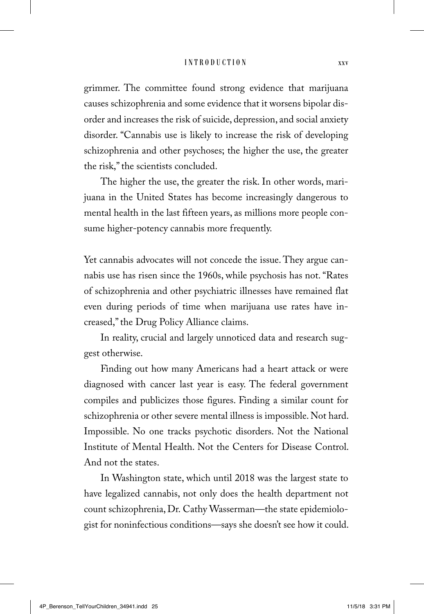grimmer. The committee found strong evidence that marijuana causes schizophrenia and some evidence that it worsens bipolar disorder and increases the risk of suicide, depression, and social anxiety disorder. "Cannabis use is likely to increase the risk of developing schizophrenia and other psychoses; the higher the use, the greater the risk," the scientists concluded.

The higher the use, the greater the risk. In other words, marijuana in the United States has become increasingly dangerous to mental health in the last fifteen years, as millions more people consume higher-potency cannabis more frequently.

Yet cannabis advocates will not concede the issue. They argue cannabis use has risen since the 1960s, while psychosis has not. "Rates of schizophrenia and other psychiatric illnesses have remained flat even during periods of time when marijuana use rates have increased," the Drug Policy Alliance claims.

In reality, crucial and largely unnoticed data and research suggest otherwise.

Finding out how many Americans had a heart attack or were diagnosed with cancer last year is easy. The federal government compiles and publicizes those figures. Finding a similar count for schizophrenia or other severe mental illness is impossible. Not hard. Impossible. No one tracks psychotic disorders. Not the National Institute of Mental Health. Not the Centers for Disease Control. And not the states.

In Washington state, which until 2018 was the largest state to have legalized cannabis, not only does the health department not count schizophrenia, Dr. Cathy Wasserman—the state epidemiologist for noninfectious conditions—says she doesn't see how it could.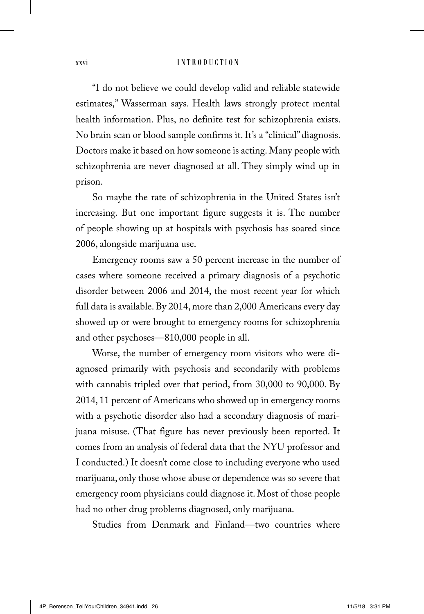"I do not believe we could develop valid and reliable statewide estimates," Wasserman says. Health laws strongly protect mental health information. Plus, no definite test for schizophrenia exists. No brain scan or blood sample confirms it. It's a "clinical" diagnosis. Doctors make it based on how someone is acting. Many people with schizophrenia are never diagnosed at all. They simply wind up in prison.

So maybe the rate of schizophrenia in the United States isn't increasing. But one important figure suggests it is. The number of people showing up at hospitals with psychosis has soared since 2006, alongside marijuana use.

Emergency rooms saw a 50 percent increase in the number of cases where someone received a primary diagnosis of a psychotic disorder between 2006 and 2014, the most recent year for which full data is available. By 2014, more than 2,000 Americans every day showed up or were brought to emergency rooms for schizophrenia and other psychoses—810,000 people in all.

Worse, the number of emergency room visitors who were diagnosed primarily with psychosis and secondarily with problems with cannabis tripled over that period, from 30,000 to 90,000. By 2014, 11 percent of Americans who showed up in emergency rooms with a psychotic disorder also had a secondary diagnosis of marijuana misuse. (That figure has never previously been reported. It comes from an analysis of federal data that the NYU professor and I conducted.) It doesn't come close to including everyone who used marijuana, only those whose abuse or dependence was so severe that emergency room physicians could diagnose it. Most of those people had no other drug problems diagnosed, only marijuana.

Studies from Denmark and Finland—two countries where

xxvi I N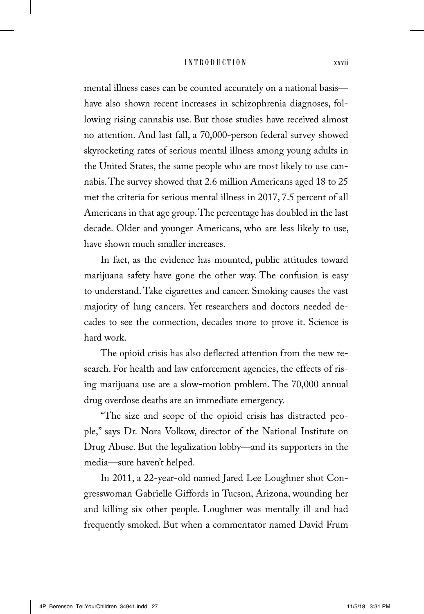mental illness cases can be counted accurately on a national basis have also shown recent increases in schizophrenia diagnoses, following rising cannabis use. But those studies have received almost no attention. And last fall, a 70,000-person federal survey showed skyrocketing rates of serious mental illness among young adults in the United States, the same people who are most likely to use cannabis. The survey showed that 2.6 million Americans aged 18 to 25 met the criteria for serious mental illness in 2017, 7.5 percent of all Americans in that age group. The percentage has doubled in the last decade. Older and younger Americans, who are less likely to use, have shown much smaller increases.

In fact, as the evidence has mounted, public attitudes toward marijuana safety have gone the other way. The confusion is easy to understand. Take cigarettes and cancer. Smoking causes the vast majority of lung cancers. Yet researchers and doctors needed decades to see the connection, decades more to prove it. Science is hard work.

The opioid crisis has also deflected attention from the new research. For health and law enforcement agencies, the effects of rising marijuana use are a slow-motion problem. The 70,000 annual drug overdose deaths are an immediate emergency.

"The size and scope of the opioid crisis has distracted people," says Dr. Nora Volkow, director of the National Institute on Drug Abuse. But the legalization lobby—and its supporters in the media—sure haven't helped.

In 2011, a 22-year-old named Jared Lee Loughner shot Congresswoman Gabrielle Giffords in Tucson, Arizona, wounding her and killing six other people. Loughner was mentally ill and had frequently smoked. But when a commentator named David Frum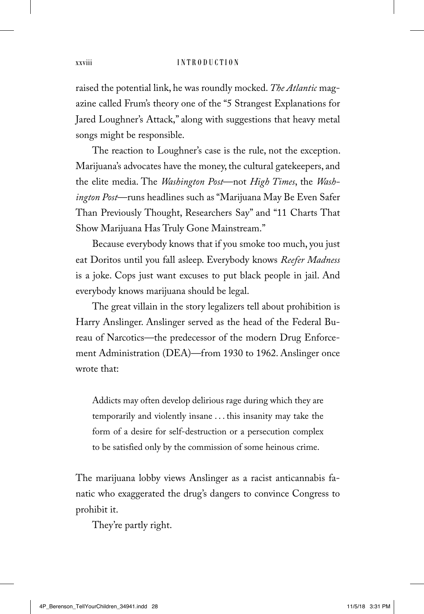### xxviii INTRODUCTION

raised the potential link, he was roundly mocked. *The Atlantic* magazine called Frum's theory one of the "5 Strangest Explanations for Jared Loughner's Attack," along with suggestions that heavy metal songs might be responsible.

The reaction to Loughner's case is the rule, not the exception. Marijuana's advocates have the money, the cultural gatekeepers, and the elite media. The *Washington Post*—not *High Times*, the *Washington Post*—runs headlines such as "Marijuana May Be Even Safer Than Previously Thought, Researchers Say" and "11 Charts That Show Marijuana Has Truly Gone Mainstream."

Because everybody knows that if you smoke too much, you just eat Doritos until you fall asleep. Everybody knows *Reefer Madness* is a joke. Cops just want excuses to put black people in jail. And everybody knows marijuana should be legal.

The great villain in the story legalizers tell about prohibition is Harry Anslinger. Anslinger served as the head of the Federal Bureau of Narcotics—the predecessor of the modern Drug Enforcement Administration (DEA)—from 1930 to 1962. Anslinger once wrote that:

Addicts may often develop delirious rage during which they are temporarily and violently insane . . . this insanity may take the form of a desire for self-destruction or a persecution complex to be satisfied only by the commission of some heinous crime.

The marijuana lobby views Anslinger as a racist anticannabis fanatic who exaggerated the drug's dangers to convince Congress to prohibit it.

They're partly right.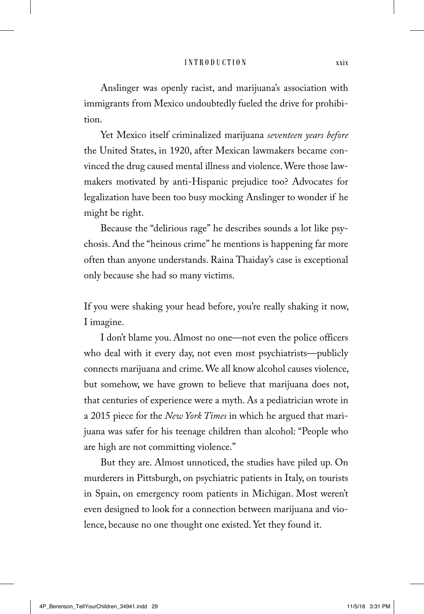Anslinger was openly racist, and marijuana's association with immigrants from Mexico undoubtedly fueled the drive for prohibition.

Yet Mexico itself criminalized marijuana *seventeen years before*  the United States, in 1920, after Mexican lawmakers became convinced the drug caused mental illness and violence. Were those lawmakers motivated by anti-Hispanic prejudice too? Advocates for legalization have been too busy mocking Anslinger to wonder if he might be right.

Because the "delirious rage" he describes sounds a lot like psychosis. And the "heinous crime" he mentions is happening far more often than anyone understands. Raina Thaiday's case is exceptional only because she had so many victims.

If you were shaking your head before, you're really shaking it now, I imagine.

I don't blame you. Almost no one—not even the police officers who deal with it every day, not even most psychiatrists—publicly connects marijuana and crime. We all know alcohol causes violence, but somehow, we have grown to believe that marijuana does not, that centuries of experience were a myth. As a pediatrician wrote in a 2015 piece for the *New York Times* in which he argued that marijuana was safer for his teenage children than alcohol: "People who are high are not committing violence."

But they are. Almost unnoticed, the studies have piled up. On murderers in Pittsburgh, on psychiatric patients in Italy, on tourists in Spain, on emergency room patients in Michigan. Most weren't even designed to look for a connection between marijuana and violence, because no one thought one existed. Yet they found it.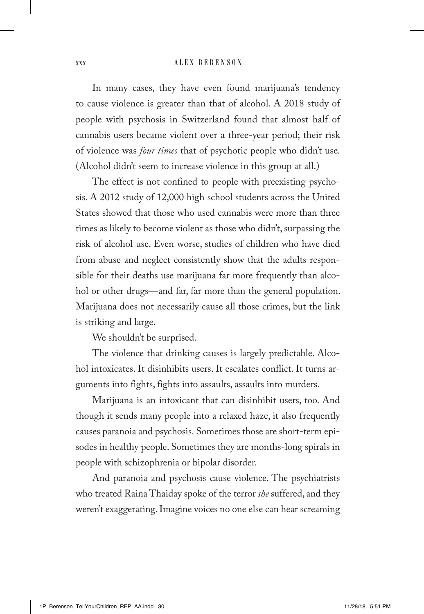### xxx ALEX BERENSON

In many cases, they have even found marijuana's tendency to cause violence is greater than that of alcohol. A 2018 study of people with psychosis in Switzerland found that almost half of cannabis users became violent over a three-year period; their risk of violence was *four times* that of psychotic people who didn't use*.*  (Alcohol didn't seem to increase violence in this group at all.)

The effect is not confined to people with preexisting psychosis. A 2012 study of 12,000 high school students across the United States showed that those who used cannabis were more than three times as likely to become violent as those who didn't, surpassing the risk of alcohol use. Even worse, studies of children who have died from abuse and neglect consistently show that the adults responsible for their deaths use marijuana far more frequently than alcohol or other drugs—and far, far more than the general population. Marijuana does not necessarily cause all those crimes, but the link is striking and large.

We shouldn't be surprised.

The violence that drinking causes is largely predictable. Alcohol intoxicates. It disinhibits users. It escalates conflict. It turns arguments into fights, fights into assaults, assaults into murders.

Marijuana is an intoxicant that can disinhibit users, too. And though it sends many people into a relaxed haze, it also frequently causes paranoia and psychosis. Sometimes those are short-term episodes in healthy people. Sometimes they are months-long spirals in people with schizophrenia or bipolar disorder.

And paranoia and psychosis cause violence. The psychiatrists who treated Raina Thaiday spoke of the terror *she* suffered, and they weren't exaggerating. Imagine voices no one else can hear screaming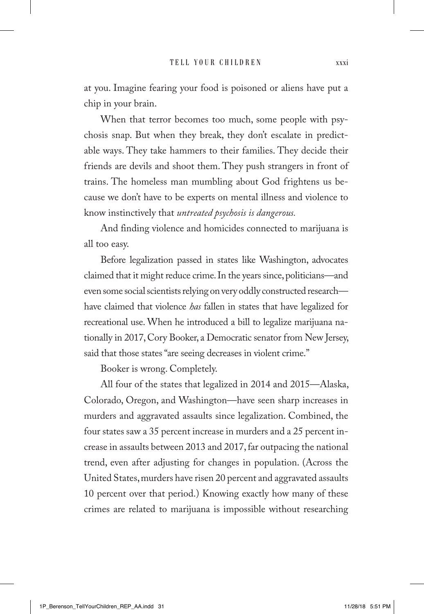at you. Imagine fearing your food is poisoned or aliens have put a chip in your brain.

When that terror becomes too much, some people with psychosis snap. But when they break, they don't escalate in predictable ways. They take hammers to their families. They decide their friends are devils and shoot them. They push strangers in front of trains. The homeless man mumbling about God frightens us because we don't have to be experts on mental illness and violence to know instinctively that *untreated psychosis is dangerous.*

And finding violence and homicides connected to marijuana is all too easy.

Before legalization passed in states like Washington, advocates claimed that it might reduce crime. In the years since, politicians—and even some social scientists relying on very oddly constructed research have claimed that violence *has* fallen in states that have legalized for recreational use. When he introduced a bill to legalize marijuana nationally in 2017, Cory Booker, a Democratic senator from New Jersey, said that those states "are seeing decreases in violent crime."

Booker is wrong. Completely.

All four of the states that legalized in 2014 and 2015—Alaska, Colorado, Oregon, and Washington—have seen sharp increases in murders and aggravated assaults since legalization. Combined, the four states saw a 35 percent increase in murders and a 25 percent increase in assaults between 2013 and 2017, far outpacing the national trend, even after adjusting for changes in population. (Across the United States, murders have risen 20 percent and aggravated assaults 10 percent over that period.) Knowing exactly how many of these crimes are related to marijuana is impossible without researching

1P\_Berenson\_TellYourChildren\_REP\_AA.indd 31 11/28/18 5:51 PM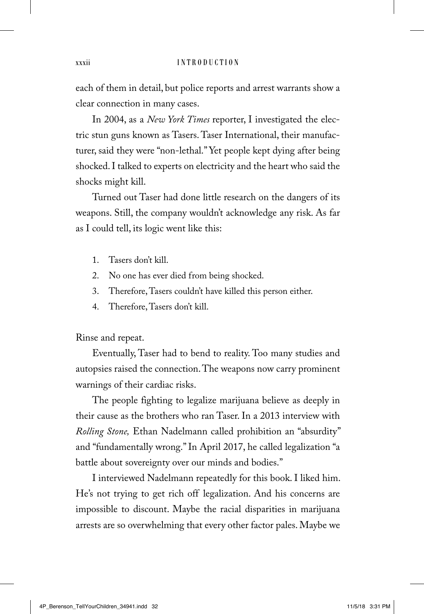each of them in detail, but police reports and arrest warrants show a clear connection in many cases.

In 2004, as a *New York Times* reporter, I investigated the electric stun guns known as Tasers. Taser International, their manufacturer, said they were "non-lethal." Yet people kept dying after being shocked. I talked to experts on electricity and the heart who said the shocks might kill.

Turned out Taser had done little research on the dangers of its weapons. Still, the company wouldn't acknowledge any risk. As far as I could tell, its logic went like this:

- 1. Tasers don't kill.
- 2. No one has ever died from being shocked.
- 3. Therefore, Tasers couldn't have killed this person either.
- 4. Therefore, Tasers don't kill.

Rinse and repeat.

Eventually, Taser had to bend to reality. Too many studies and autopsies raised the connection. The weapons now carry prominent warnings of their cardiac risks.

The people fighting to legalize marijuana believe as deeply in their cause as the brothers who ran Taser. In a 2013 interview with *Rolling Stone,* Ethan Nadelmann called prohibition an "absurdity" and "fundamentally wrong." In April 2017, he called legalization "a battle about sovereignty over our minds and bodies."

I interviewed Nadelmann repeatedly for this book. I liked him. He's not trying to get rich off legalization. And his concerns are impossible to discount. Maybe the racial disparities in marijuana arrests are so overwhelming that every other factor pales. Maybe we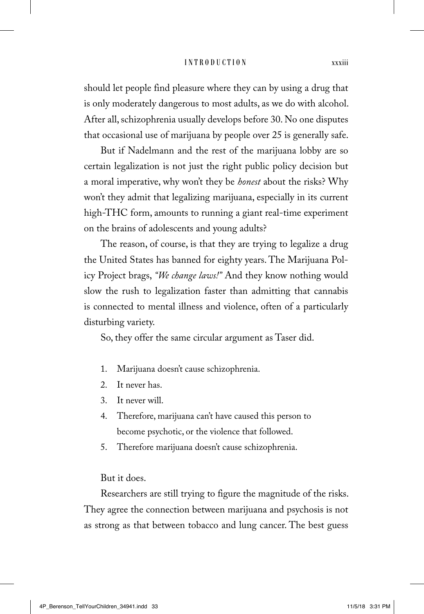should let people find pleasure where they can by using a drug that is only moderately dangerous to most adults, as we do with alcohol. After all, schizophrenia usually develops before 30. No one disputes that occasional use of marijuana by people over 25 is generally safe.

But if Nadelmann and the rest of the marijuana lobby are so certain legalization is not just the right public policy decision but a moral imperative, why won't they be *honest* about the risks? Why won't they admit that legalizing marijuana, especially in its current high-THC form, amounts to running a giant real-time experiment on the brains of adolescents and young adults?

The reason, of course, is that they are trying to legalize a drug the United States has banned for eighty years. The Marijuana Policy Project brags, *"We change laws!"* And they know nothing would slow the rush to legalization faster than admitting that cannabis is connected to mental illness and violence, often of a particularly disturbing variety.

So, they offer the same circular argument as Taser did.

- 1. Marijuana doesn't cause schizophrenia.
- 2. It never has.
- 3. It never will.
- 4. Therefore, marijuana can't have caused this person to become psychotic, or the violence that followed.
- 5. Therefore marijuana doesn't cause schizophrenia.

### But it does.

Researchers are still trying to figure the magnitude of the risks. They agree the connection between marijuana and psychosis is not as strong as that between tobacco and lung cancer. The best guess

4P\_Berenson\_TellYourChildren\_34941.indd 33 11/5/18 3:31 PM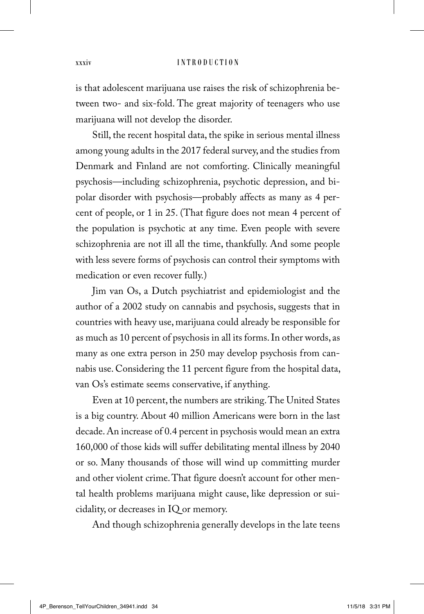#### xxxiv INTRODUCTION

is that adolescent marijuana use raises the risk of schizophrenia between two- and six-fold. The great majority of teenagers who use marijuana will not develop the disorder.

Still, the recent hospital data, the spike in serious mental illness among young adults in the 2017 federal survey, and the studies from Denmark and Finland are not comforting. Clinically meaningful psychosis—including schizophrenia, psychotic depression, and bipolar disorder with psychosis—probably affects as many as 4 percent of people, or 1 in 25. (That figure does not mean 4 percent of the population is psychotic at any time. Even people with severe schizophrenia are not ill all the time, thankfully. And some people with less severe forms of psychosis can control their symptoms with medication or even recover fully.)

Jim van Os, a Dutch psychiatrist and epidemiologist and the author of a 2002 study on cannabis and psychosis, suggests that in countries with heavy use, marijuana could already be responsible for as much as 10 percent of psychosis in all its forms. In other words, as many as one extra person in 250 may develop psychosis from cannabis use. Considering the 11 percent figure from the hospital data, van Os's estimate seems conservative, if anything.

Even at 10 percent, the numbers are striking. The United States is a big country. About 40 million Americans were born in the last decade. An increase of 0.4 percent in psychosis would mean an extra 160,000 of those kids will suffer debilitating mental illness by 2040 or so. Many thousands of those will wind up committing murder and other violent crime. That figure doesn't account for other mental health problems marijuana might cause, like depression or suicidality, or decreases in IQ or memory.

And though schizophrenia generally develops in the late teens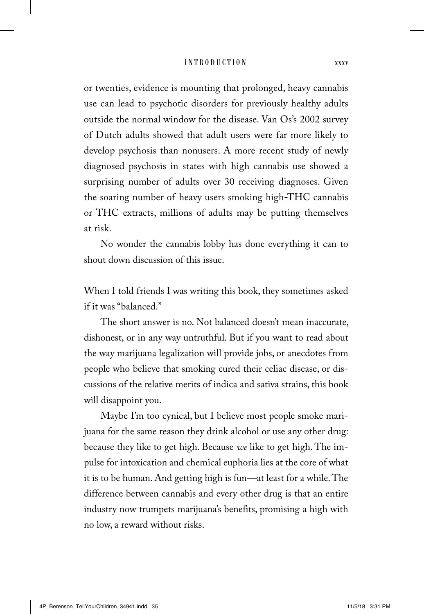or twenties, evidence is mounting that prolonged, heavy cannabis use can lead to psychotic disorders for previously healthy adults outside the normal window for the disease. Van Os's 2002 survey of Dutch adults showed that adult users were far more likely to develop psychosis than nonusers. A more recent study of newly diagnosed psychosis in states with high cannabis use showed a surprising number of adults over 30 receiving diagnoses. Given the soaring number of heavy users smoking high-THC cannabis or THC extracts, millions of adults may be putting themselves at risk.

No wonder the cannabis lobby has done everything it can to shout down discussion of this issue.

When I told friends I was writing this book, they sometimes asked if it was "balanced."

The short answer is no. Not balanced doesn't mean inaccurate, dishonest, or in any way untruthful. But if you want to read about the way marijuana legalization will provide jobs, or anecdotes from people who believe that smoking cured their celiac disease, or discussions of the relative merits of indica and sativa strains, this book will disappoint you.

Maybe I'm too cynical, but I believe most people smoke marijuana for the same reason they drink alcohol or use any other drug: because they like to get high. Because *we* like to get high. The impulse for intoxication and chemical euphoria lies at the core of what it is to be human. And getting high is fun*—*at least for a while. The difference between cannabis and every other drug is that an entire industry now trumpets marijuana's benefits, promising a high with no low, a reward without risks.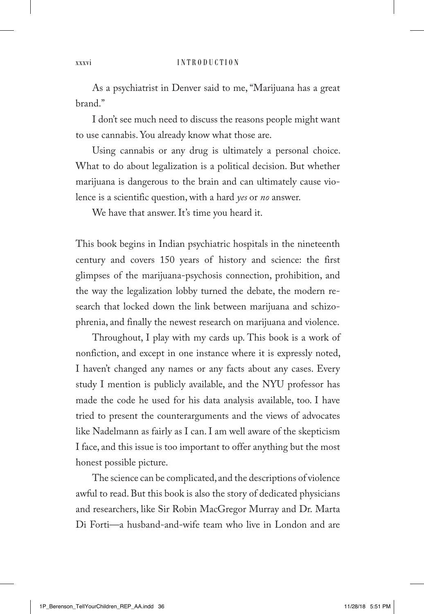#### xxxvi INTRODUCTION

As a psychiatrist in Denver said to me, "Marijuana has a great brand."

I don't see much need to discuss the reasons people might want to use cannabis. You already know what those are.

Using cannabis or any drug is ultimately a personal choice. What to do about legalization is a political decision. But whether marijuana is dangerous to the brain and can ultimately cause violence is a scientific question, with a hard *yes* or *no* answer.

We have that answer. It's time you heard it.

This book begins in Indian psychiatric hospitals in the nineteenth century and covers 150 years of history and science: the first glimpses of the marijuana-psychosis connection, prohibition, and the way the legalization lobby turned the debate, the modern research that locked down the link between marijuana and schizophrenia, and finally the newest research on marijuana and violence.

Throughout, I play with my cards up. This book is a work of nonfiction, and except in one instance where it is expressly noted, I haven't changed any names or any facts about any cases. Every study I mention is publicly available, and the NYU professor has made the code he used for his data analysis available, too. I have tried to present the counterarguments and the views of advocates like Nadelmann as fairly as I can. I am well aware of the skepticism I face, and this issue is too important to offer anything but the most honest possible picture.

The science can be complicated, and the descriptions of violence awful to read. But this book is also the story of dedicated physicians and researchers, like Sir Robin MacGregor Murray and Dr. Marta Di Forti—a husband-and-wife team who live in London and are